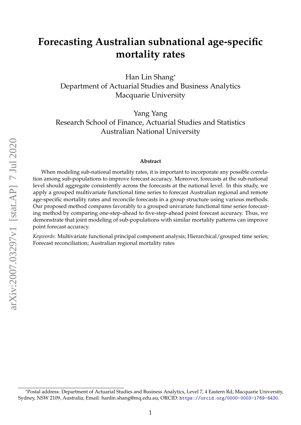# **Forecasting Australian subnational age-specific mortality rates**

Han Lin Shang\* Department of Actuarial Studies and Business Analytics Macquarie University

Yang Yang Research School of Finance, Actuarial Studies and Statistics Australian National University

#### **Abstract**

When modeling sub-national mortality rates, it is important to incorporate any possible correlation among sub-populations to improve forecast accuracy. Moreover, forecasts at the sub-national level should aggregate consistently across the forecasts at the national level. In this study, we apply a grouped multivariate functional time series to forecast Australian regional and remote age-specific mortality rates and reconcile forecasts in a group structure using various methods. Our proposed method compares favorably to a grouped univariate functional time series forecasting method by comparing one-step-ahead to five-step-ahead point forecast accuracy. Thus, we demonstrate that joint modeling of sub-populations with similar mortality patterns can improve point forecast accuracy.

*Keywords*: Multivariate functional principal component analysis; Hierarchical/grouped time series; Forecast reconciliation; Australian regional mortality rates

<sup>\*</sup>Postal address: Department of Actuarial Studies and Business Analytics, Level 7, 4 Eastern Rd, Macquarie University, Sydney, NSW 2109, Australia; Email: hanlin.shang@mq.edu.au; ORCID: <https://orcid.org/0000-0003-1769-6430>.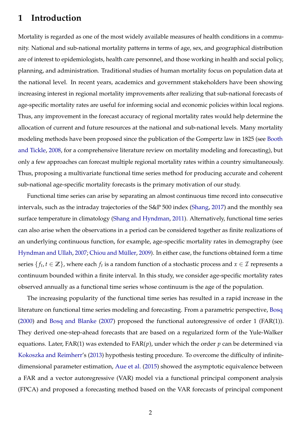### **1 Introduction**

Mortality is regarded as one of the most widely available measures of health conditions in a community. National and sub-national mortality patterns in terms of age, sex, and geographical distribution are of interest to epidemiologists, health care personnel, and those working in health and social policy, planning, and administration. Traditional studies of human mortality focus on population data at the national level. In recent years, academics and government stakeholders have been showing increasing interest in regional mortality improvements after realizing that sub-national forecasts of age-specific mortality rates are useful for informing social and economic policies within local regions. Thus, any improvement in the forecast accuracy of regional mortality rates would help determine the allocation of current and future resources at the national and sub-national levels. Many mortality modeling methods have been proposed since the publication of the Gompertz law in 1825 (see [Booth](#page-23-0) [and Tickle,](#page-23-0) [2008,](#page-23-0) for a comprehensive literature review on mortality modeling and forecasting), but only a few approaches can forecast multiple regional mortality rates within a country simultaneously. Thus, proposing a multivariate functional time series method for producing accurate and coherent sub-national age-specific mortality forecasts is the primary motivation of our study.

Functional time series can arise by separating an almost continuous time record into consecutive intervals, such as the intraday trajectories of the S&P 500 index [\(Shang,](#page-25-0) [2017\)](#page-25-0) and the monthly sea surface temperature in climatology [\(Shang and Hyndman,](#page-26-0) [2011\)](#page-26-0). Alternatively, functional time series can also arise when the observations in a period can be considered together as finite realizations of an underlying continuous function, for example, age-specific mortality rates in demography (see [Hyndman and Ullah,](#page-25-1) [2007;](#page-25-1) Chiou and Müller, [2009\)](#page-23-1). In either case, the functions obtained form a time series  $\{f_t, t \in \mathbb{Z}\}$ , where each  $f_t$  is a random function of a stochastic process and  $x \in \mathcal{I}$  represents a continuum bounded within a finite interval. In this study, we consider age-specific mortality rates observed annually as a functional time series whose continuum is the age of the population.

The increasing popularity of the functional time series has resulted in a rapid increase in the literature on functional time series modeling and forecasting. From a parametric perspective, [Bosq](#page-23-2) [\(2000\)](#page-23-2) and [Bosq and Blanke](#page-23-3) [\(2007\)](#page-23-3) proposed the functional autoregressive of order 1 (FAR(1)). They derived one-step-ahead forecasts that are based on a regularized form of the Yule-Walker equations. Later, FAR(1) was extended to FAR(*p*), under which the order *p* can be determined via [Kokoszka and Reimherr'](#page-25-2)s [\(2013\)](#page-25-2) hypothesis testing procedure. To overcome the difficulty of infinitedimensional parameter estimation, [Aue et al.](#page-23-4) [\(2015\)](#page-23-4) showed the asymptotic equivalence between a FAR and a vector autoregressive (VAR) model via a functional principal component analysis (FPCA) and proposed a forecasting method based on the VAR forecasts of principal component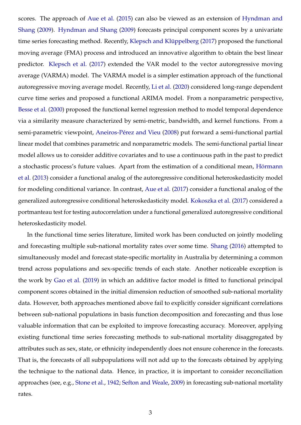scores. The approach of [Aue et al.](#page-23-4) [\(2015\)](#page-23-4) can also be viewed as an extension of [Hyndman and](#page-24-0) [Shang](#page-24-0) [\(2009\)](#page-24-0). [Hyndman and Shang](#page-24-0) [\(2009\)](#page-24-0) forecasts principal component scores by a univariate time series forecasting method. Recently, Klepsch and Klüppelberg [\(2017\)](#page-25-3) proposed the functional moving average (FMA) process and introduced an innovative algorithm to obtain the best linear predictor. [Klepsch et al.](#page-25-4) [\(2017\)](#page-25-4) extended the VAR model to the vector autoregressive moving average (VARMA) model. The VARMA model is a simpler estimation approach of the functional autoregressive moving average model. Recently, [Li et al.](#page-25-5) [\(2020\)](#page-25-5) considered long-range dependent curve time series and proposed a functional ARIMA model. From a nonparametric perspective, [Besse et al.](#page-23-5) [\(2000\)](#page-23-5) proposed the functional kernel regression method to model temporal dependence via a similarity measure characterized by semi-metric, bandwidth, and kernel functions. From a semi-parametric viewpoint, Aneiros-Pérez and Vieu [\(2008\)](#page-23-6) put forward a semi-functional partial linear model that combines parametric and nonparametric models. The semi-functional partial linear model allows us to consider additive covariates and to use a continuous path in the past to predict a stochastic process's future values. Apart from the estimation of a conditional mean, Hörmann [et al.](#page-24-1) [\(2013\)](#page-24-1) consider a functional analog of the autoregressive conditional heteroskedasticity model for modeling conditional variance. In contrast, [Aue et al.](#page-23-7) [\(2017\)](#page-23-7) consider a functional analog of the generalized autoregressive conditional heteroskedasticity model. [Kokoszka et al.](#page-25-6) [\(2017\)](#page-25-6) considered a portmanteau test for testing autocorrelation under a functional generalized autoregressive conditional heteroskedasticity model.

In the functional time series literature, limited work has been conducted on jointly modeling and forecasting multiple sub-national mortality rates over some time. [Shang](#page-25-7) [\(2016\)](#page-25-7) attempted to simultaneously model and forecast state-specific mortality in Australia by determining a common trend across populations and sex-specific trends of each state. Another noticeable exception is the work by [Gao et al.](#page-24-2) [\(2019\)](#page-24-2) in which an additive factor model is fitted to functional principal component scores obtained in the initial dimension reduction of smoothed sub-national mortality data. However, both approaches mentioned above fail to explicitly consider significant correlations between sub-national populations in basis function decomposition and forecasting and thus lose valuable information that can be exploited to improve forecasting accuracy. Moreover, applying existing functional time series forecasting methods to sub-national mortality disaggregated by attributes such as sex, state, or ethnicity independently does not ensure coherence in the forecasts. That is, the forecasts of all subpopulations will not add up to the forecasts obtained by applying the technique to the national data. Hence, in practice, it is important to consider reconciliation approaches (see, e.g., [Stone et al.,](#page-26-1) [1942;](#page-26-1) [Sefton and Weale,](#page-25-8) [2009\)](#page-25-8) in forecasting sub-national mortality rates.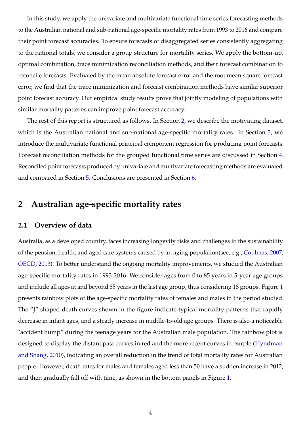In this study, we apply the univariate and multivariate functional time series forecasting methods to the Australian national and sub-national age-specific mortality rates from 1993 to 2016 and compare their point forecast accuracies. To ensure forecasts of disaggregated series consistently aggregating to the national totals, we consider a group structure for mortality series. We apply the bottom-up, optimal combination, trace minimization reconciliation methods, and their forecast combination to reconcile forecasts. Evaluated by the mean absolute forecast error and the root mean square forecast error, we find that the trace minimization and forecast combination methods have similar superior point forecast accuracy. Our empirical study results prove that jointly modeling of populations with similar mortality patterns can improve point forecast accuracy.

The rest of this report is structured as follows. In Section [2,](#page-3-0) we describe the motivating dataset, which is the Australian national and sub-national age-specific mortality rates. In Section [3,](#page-9-0) we introduce the multivariate functional principal component regression for producing point forecasts. Forecast reconciliation methods for the grouped functional time series are discussed in Section [4.](#page-12-0) Reconciled point forecasts produced by univariate and multivariate forecasting methods are evaluated and compared in Section [5.](#page-16-0) Conclusions are presented in Section [6.](#page-20-0)

## <span id="page-3-0"></span>**2 Australian age-specific mortality rates**

#### **2.1 Overview of data**

Australia, as a developed country, faces increasing longevity risks and challenges to the sustainability of the pension, health, and aged care systems caused by an aging population(see, e.g., [Coulmas,](#page-23-8) [2007;](#page-23-8) [OECD,](#page-25-9) [2013\)](#page-25-9). To better understand the ongoing mortality improvements, we studied the Australian age-specific mortality rates in 1993-2016. We consider ages from 0 to 85 years in 5-year age groups and include all ages at and beyond 85 years in the last age group, thus considering 18 groups. Figure [1](#page-4-0) presents rainbow plots of the age-specific mortality rates of females and males in the period studied. The "J" shaped death curves shown in the figure indicate typical mortality patterns that rapidly decrease in infant ages, and a steady increase in middle-to-old age groups. There is also a noticeable "accident hump" during the teenage years for the Australian male population. The rainbow plot is designed to display the distant past curves in red and the more recent curves in purple [\(Hyndman](#page-24-3) [and Shang,](#page-24-3) [2010\)](#page-24-3), indicating an overall reduction in the trend of total mortality rates for Australian people. However, death rates for males and females aged less than 50 have a sudden increase in 2012, and then gradually fall off with time, as shown in the bottom panels in Figure [1.](#page-4-0)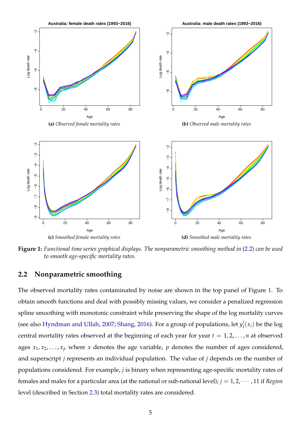<span id="page-4-0"></span>

**Figure 1:** *Functional time series graphical displays. The nonparametric smoothing method in* [\(2.2\)](#page-4-1) *can be used to smooth age-specific mortality rates.*

### <span id="page-4-1"></span>**2.2 Nonparametric smoothing**

The observed mortality rates contaminated by noise are shown in the top panel of Figure [1.](#page-4-0) To obtain smooth functions and deal with possibly missing values, we consider a penalized regression spline smoothing with monotonic constraint while preserving the shape of the log mortality curves (see also [Hyndman and Ullah,](#page-25-1) [2007;](#page-25-1) [Shang,](#page-25-7) [2016\)](#page-25-7). For a group of populations, let  $y_t^j$  $\mathcal{L}_t^{\prime}(x_i)$  be the log central mortality rates observed at the beginning of each year for year  $t = 1, 2, \ldots, n$  at observed ages  $x_1, x_2, \ldots, x_p$  where *x* denotes the age variable, *p* denotes the number of ages considered, and superscript *j* represents an individual population. The value of *j* depends on the number of populations considered. For example, *j* is binary when representing age-specific mortality rates of females and males for a particular area (at the national or sub-national level);  $j = 1, 2, \cdots$  , 11 if *Region* level (described in Section [2.3\)](#page-5-0) total mortality rates are considered.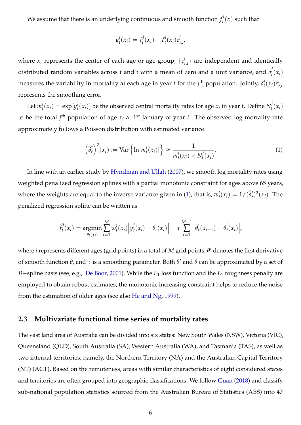We assume that there is an underlying continuous and smooth function  $f_t^j$  $t^{\prime}(x)$  such that

$$
y_t^j(x_i) = f_t^j(x_i) + \delta_t^j(x_i)\varepsilon_{t,i'}^j
$$

where  $x_i$  represents the center of each age or age group,  $\{ \varepsilon_i^j \}$  $\{t_{t,i}\}$  are independent and identically distributed random variables across *t* and *i* with a mean of zero and a unit variance, and *δ j*  $t_i^f(x_i)$ measures the variability in mortality at each age in year *t* for the  $j^{\text{th}}$  population. Jointly,  $\delta_t^j$ *t* (*xi*)*ε j t*,*i* represents the smoothing error.

Let  $m_t^j$  $\dot{y}_t^j(x_i) = \exp[y_t^j]$  $\int_t^j (x_i)$ ] be the observed central mortality rates for age  $x_i$  in year *t*. Define  $N_t^j$  $t_i^f(x_i)$ to be the total  $j<sup>th</sup>$  population of age  $x_i$  at 1<sup>st</sup> January of year *t*. The observed log mortality rate approximately follows a Poisson distribution with estimated variance

<span id="page-5-1"></span>
$$
\left(\widehat{\delta}_t^j\right)^2(x_i) := \text{Var}\left\{\ln[m_t^j(x_i)]\right\} \approx \frac{1}{m_t^j(x_i) \times N_t^j(x_i)}.
$$
\n(1)

In line with an earlier study by [Hyndman and Ullah](#page-25-1) [\(2007\)](#page-25-1), we smooth log mortality rates using weighted penalized regression splines with a partial monotonic constraint for ages above 65 years, where the weights are equal to the inverse variance given in [\(1\)](#page-5-1), that is,  $w_t^j$  $t_t^j(x_i) = 1/(\widehat{\delta}_t^j)$  $\int_t^j$ )<sup>2</sup>(*x<sub>i</sub>*). The penalized regression spline can be written as

$$
\widehat{f}_t^j(x_i) = \underset{\theta_t(x_i)}{\text{argmin}} \sum_{i=1}^M w_t^j(x_i) \Big| y_t^j(x_i) - \theta_t(x_i) \Big| + \tau \sum_{i=1}^{M-1} \Big| \theta_t'(x_{i+1}) - \theta_t'(x_i) \Big|,
$$

where *i* represents different ages (grid points) in a total of *M* grid points*,* θ' denotes the first derivative of smooth function θ, and τ is a smoothing parameter. Both θ' and θ can be approximated by a set of *B*−spline basis (see, e.g., [De Boor,](#page-24-4) [2001\)](#page-24-4). While the *L*<sub>1</sub> loss function and the *L*<sub>1</sub> roughness penalty are employed to obtain robust estimates, the monotonic increasing constraint helps to reduce the noise from the estimation of older ages (see also [He and Ng,](#page-24-5) [1999\)](#page-24-5).

### <span id="page-5-0"></span>**2.3 Multivariate functional time series of mortality rates**

The vast land area of Australia can be divided into six states: New South Wales (NSW), Victoria (VIC), Queensland (QLD), South Australia (SA), Western Australia (WA), and Tasmania (TAS), as well as two internal territories, namely, the Northern Territory (NA) and the Australian Capital Territory (NT) (ACT). Based on the remoteness, areas with similar characteristics of eight considered states and territories are often grouped into geographic classifications. We follow [Guan](#page-24-6) [\(2018\)](#page-24-6) and classify sub-national population statistics sourced from the Australian Bureau of Statistics (ABS) into 47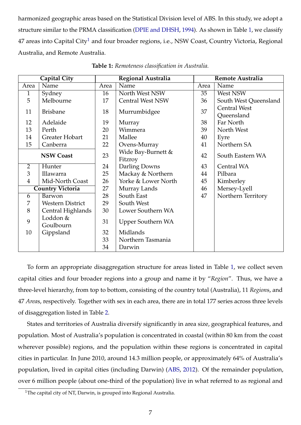harmonized geographic areas based on the Statistical Division level of ABS. In this study, we adopt a structure similar to the PRMA classification [\(DPIE and DHSH,](#page-24-7) [1994\)](#page-24-7). As shown in Table [1,](#page-6-0) we classify 47 areas into Capital City<sup>[1](#page-6-1)</sup> and four broader regions, i.e., NSW Coast, Country Victoria, Regional Australia, and Remote Australia.

<span id="page-6-0"></span>

|                         | <b>Capital City</b>     |      | Regional Australia            | <b>Remote Australia</b> |                       |  |  |
|-------------------------|-------------------------|------|-------------------------------|-------------------------|-----------------------|--|--|
| Area                    | Name                    | Area | Name                          | Area                    | Name                  |  |  |
| $\mathbf{1}$            | Sydney                  | 16   | North West NSW                | 35                      | West NSW              |  |  |
| 5                       | Melbourne               | 17   | <b>Central West NSW</b>       | 36                      | South West Queensland |  |  |
| 11                      | <b>Brisbane</b>         | 18   | Murrumbidgee                  | 37                      | <b>Central West</b>   |  |  |
|                         |                         |      |                               |                         | Queensland            |  |  |
| 12                      | Adelaide                | 19   | Murray                        | 38                      | Far North             |  |  |
| 13                      | Perth                   | 20   | Wimmera                       | 39                      | North West            |  |  |
| 14                      | Greater Hobart          | 21   | Mallee                        | 40                      | Eyre                  |  |  |
| 15                      | Canberra                | 22   | Ovens-Murray                  | 41                      | Northern SA           |  |  |
| <b>NSW Coast</b>        |                         | 23   | Wide Bay-Burnett &<br>Fitzroy | 42                      | South Eastern WA      |  |  |
| $\overline{2}$          | Hunter                  | 24   | Darling Downs                 | 43                      | Central WA            |  |  |
| 3                       | Illawarra               | 25   | Mackay & Northern             | 44                      | Pilbara               |  |  |
| $\overline{4}$          | Mid-North Coast         | 26   | Yorke & Lower North           | 45                      | Kimberley             |  |  |
| <b>Country Victoria</b> |                         | 27   | Murray Lands                  | 46                      | Mersey-Lyell          |  |  |
| 6                       | Barwon                  | 28   | South East                    | 47                      | Northern Territory    |  |  |
| 7                       | <b>Western District</b> | 29   | South West                    |                         |                       |  |  |
| 8                       | Central Highlands       | 30   | Lower Southern WA             |                         |                       |  |  |
| 9                       | Loddon &<br>Goulbourn   | 31   | <b>Upper Southern WA</b>      |                         |                       |  |  |
| 10                      | Gippsland               | 32   | Midlands                      |                         |                       |  |  |
|                         |                         | 33   | Northern Tasmania             |                         |                       |  |  |
|                         |                         | 34   | Darwin                        |                         |                       |  |  |

**Table 1:** *Remoteness classification in Australia.*

To form an appropriate disaggregation structure for areas listed in Table [1,](#page-6-0) we collect seven capital cities and four broader regions into a group and name it by "*Region*". Thus, we have a three-level hierarchy, from top to bottom, consisting of the country total (Australia), 11 *Region*s, and 47 *Area*s, respectively. Together with sex in each area, there are in total 177 series across three levels of disaggregation listed in Table [2.](#page-7-0)

States and territories of Australia diversify significantly in area size, geographical features, and population. Most of Australia's population is concentrated in coastal (within 80 km from the coast wherever possible) regions, and the population within these regions is concentrated in capital cities in particular. In June 2010, around 14.3 million people, or approximately 64% of Australia's population, lived in capital cities (including Darwin) [\(ABS,](#page-23-9) [2012\)](#page-23-9). Of the remainder population, over 6 million people (about one-third of the population) live in what referred to as regional and

<span id="page-6-1"></span><sup>&</sup>lt;sup>1</sup>The capital city of NT, Darwin, is grouped into Regional Australia.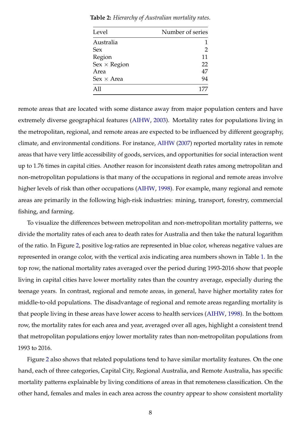| Level               | Number of series |
|---------------------|------------------|
| Australia           |                  |
| Sex                 | 2                |
| Region              | 11               |
| $Sex \times Region$ | 22               |
| Area                | 47               |
| $Sex \times Area$   | 94               |
| $\Delta$ 11         | 177              |

<span id="page-7-0"></span>**Table 2:** *Hierarchy of Australian mortality rates.*

remote areas that are located with some distance away from major population centers and have extremely diverse geographical features [\(AIHW,](#page-23-10) [2003\)](#page-23-10). Mortality rates for populations living in the metropolitan, regional, and remote areas are expected to be influenced by different geography, climate, and environmental conditions. For instance, [AIHW](#page-23-11) [\(2007\)](#page-23-11) reported mortality rates in remote areas that have very little accessibility of goods, services, and opportunities for social interaction went up to 1.76 times in capital cities. Another reason for inconsistent death rates among metropolitan and non-metropolitan populations is that many of the occupations in regional and remote areas involve higher levels of risk than other occupations [\(AIHW,](#page-23-12) [1998\)](#page-23-12). For example, many regional and remote areas are primarily in the following high-risk industries: mining, transport, forestry, commercial fishing, and farming.

To visualize the differences between metropolitan and non-metropolitan mortality patterns, we divide the mortality rates of each area to death rates for Australia and then take the natural logarithm of the ratio. In Figure [2,](#page-8-0) positive log-ratios are represented in blue color, whereas negative values are represented in orange color, with the vertical axis indicating area numbers shown in Table [1.](#page-6-0) In the top row, the national mortality rates averaged over the period during 1993-2016 show that people living in capital cities have lower mortality rates than the country average, especially during the teenage years. In contrast, regional and remote areas, in general, have higher mortality rates for middle-to-old populations. The disadvantage of regional and remote areas regarding mortality is that people living in these areas have lower access to health services [\(AIHW,](#page-23-12) [1998\)](#page-23-12). In the bottom row, the mortality rates for each area and year, averaged over all ages, highlight a consistent trend that metropolitan populations enjoy lower mortality rates than non-metropolitan populations from 1993 to 2016.

Figure [2](#page-8-0) also shows that related populations tend to have similar mortality features. On the one hand, each of three categories, Capital City, Regional Australia, and Remote Australia, has specific mortality patterns explainable by living conditions of areas in that remoteness classification. On the other hand, females and males in each area across the country appear to show consistent mortality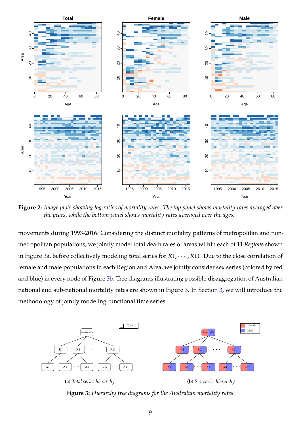<span id="page-8-0"></span>

**Figure 2:** *Image plots showing log ratios of mortality rates. The top panel shows mortality rates averaged over the years, while the bottom panel shows mortality rates averaged over the ages.*

movements during 1993-2016. Considering the distinct mortality patterns of metropolitan and nonmetropolitan populations, we jointly model total death rates of areas within each of 11 *Region*s shown in Figure [3a,](#page-8-1) before collectively modeling total series for *R*1, · · · , *R*11. Due to the close correlation of female and male populations in each Region and Area, we jointly consider sex series (colored by red and blue) in every node of Figure [3b.](#page-8-2) Tree diagrams illustrating possible disaggregation of Australian national and sub-national mortality rates are shown in Figure [3.](#page-8-3) In Section [3,](#page-9-0) we will introduce the methodology of jointly modeling functional time series.

<span id="page-8-3"></span><span id="page-8-1"></span>

<span id="page-8-2"></span>**Figure 3:** *Hierarchy tree diagrams for the Australian mortality rates.*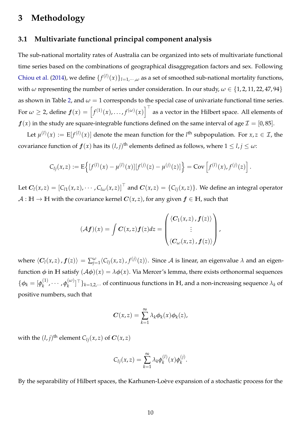### <span id="page-9-0"></span>**3 Methodology**

### **3.1 Multivariate functional principal component analysis**

The sub-national mortality rates of Australia can be organized into sets of multivariate functional time series based on the combinations of geographical disaggregation factors and sex. Following [Chiou et al.](#page-23-13) [\(2014\)](#page-23-13), we define  $\{f^{(l)}(x)\}_{l=1,\cdots,\omega}$  as a set of smoothed sub-national mortality functions, with *ω* representing the number of series under consideration. In our study,  $\omega \in \{1, 2, 11, 22, 47, 94\}$ as shown in Table [2,](#page-7-0) and  $\omega = 1$  corresponds to the special case of univariate functional time series. For  $\omega \geq 2$ , define  $\bm{f}(x) = \left[f^{(1)}(x), \ldots, f^{(\omega)}(x)\right]^{\top}$  as a vector in the Hilbert space. All elements of  $f(x)$  in the study are square-integrable functions defined on the same interval of age  $\mathcal{I} = [0, 85]$ .

Let  $\mu^{(l)}(x) := E[f^{(l)}(x)]$  denote the mean function for the *l*<sup>th</sup> subpopulation. For  $x, z \in \mathcal{I}$ , the covariance function of  $f(x)$  has its  $(l, j)$ <sup>th</sup> elements defined as follows, where  $1 \leq l, j \leq \omega$ :

$$
C_{lj}(x,z) := \mathrm{E}\left\{ [f^{(l)}(x) - \mu^{(l)}(x)][f^{(j)}(z) - \mu^{(j)}(z)] \right\} = \mathrm{Cov}\left[f^{(l)}(x), f^{(j)}(z)\right].
$$

Let  $C_l(x,z) = [C_{l1}(x,z), \cdots, C_{l\omega}(x,z)]^\top$  and  $C(x,z) = \{C_{lj}(x,z)\}$ . We define an integral operator  $A : \mathbb{H} \to \mathbb{H}$  with the covariance kernel  $C(x, z)$ , for any given  $f \in \mathbb{H}$ , such that

$$
(\mathcal{A}f)(x) = \int C(x,z)f(z)dz = \begin{pmatrix} \langle C_1(x,z),f(z) \rangle \\ \vdots \\ \langle C_\omega(x,z),f(z) \rangle \end{pmatrix},
$$

where  $\langle C_l(x,z)$  ,  $f(z)\rangle = \sum_{j=1}^{\omega} \langle C_{lj}(x,z)$  ,  $f^{(j)}(z)\rangle$ . Since  ${\cal A}$  is linear, an eigenvalue  $\lambda$  and an eigenfunction  $\phi$  in **H** satisfy  $(A\phi)(x) = \lambda \phi(x)$ . Via Mercer's lemma, there exists orthonormal sequences  $\{\boldsymbol{\phi}_k = [\boldsymbol{\phi}_k^{(1)}]$  $\phi_k^{(1)}$ ,  $\cdots$ ,  $\phi_k^{(\omega)}$  $\{f_k^{(w)}\}^{\dagger}$  } $_{k=1,2,\cdots}$  of continuous functions in  $\mathbb{H}$ , and a non-increasing sequence  $\lambda_k$  of positive numbers, such that

$$
C(x,z)=\sum_{k=1}^{\infty}\lambda_k\phi_k(x)\phi_k(z),
$$

with the  $(l, j)$ <sup>th</sup> element  $C_{lj}(x, z)$  of  $\boldsymbol{C}(x, z)$ 

$$
C_{lj}(x,z)=\sum_{k=1}^{\infty}\lambda_k\phi_k^{(l)}(x)\phi_k^{(j)}.
$$

By the separability of Hilbert spaces, the Karhunen-Loève expansion of a stochastic process for the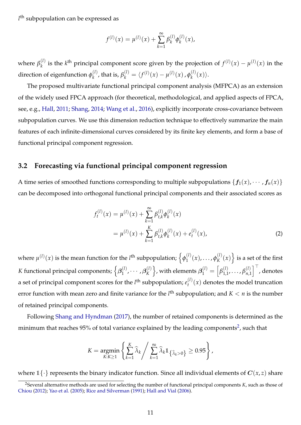*l* th subpopulation can be expressed as

$$
f^{(l)}(x) = \mu^{(l)}(x) + \sum_{k=1}^{\infty} \beta_k^{(l)} \phi_k^{(l)}(x),
$$

where  $\beta_k^{(l)}$  $\mu_k^{(l)}$  is the *k*<sup>th</sup> principal component score given by the projection of  $f^{(l)}(x) - \mu^{(l)}(x)$  in the direction of eigenfunction  $\phi_k^{(l)}$  $\theta_k^{(l)}$ , that is,  $\beta_k^{(l)} = \langle f^{(l)}(x) - \mu^{(l)}(x) \rangle$ ,  $\phi_k^{(l)}$  $\langle_k^{(i)}(x)\rangle$ .

The proposed multivariate functional principal component analysis (MFPCA) as an extension of the widely used FPCA approach (for theoretical, methodological, and applied aspects of FPCA, see, e.g., [Hall,](#page-24-8) [2011;](#page-24-8) [Shang,](#page-25-10) [2014;](#page-25-10) [Wang et al.,](#page-26-2) [2016\)](#page-26-2), explicitly incorporate cross-covariance between subpopulation curves. We use this dimension reduction technique to effectively summarize the main features of each infinite-dimensional curves considered by its finite key elements, and form a base of functional principal component regression.

### **3.2 Forecasting via functional principal component regression**

A time series of smoothed functions corresponding to multiple subpopulations  $\{f_1(x), \dots, f_n(x)\}$ can be decomposed into orthogonal functional principal components and their associated scores as

<span id="page-10-1"></span>
$$
f_t^{(l)}(x) = \mu^{(l)}(x) + \sum_{k=1}^{\infty} \beta_{t,k}^{(l)} \phi_k^{(l)}(x)
$$
  
= 
$$
\mu^{(l)}(x) + \sum_{k=1}^{K} \beta_{t,k}^{(l)} \phi_k^{(l)}(x) + e_t^{(l)}(x),
$$
 (2)

where  $\mu^{(l)}(x)$  is the mean function for the *l*<sup>th</sup> subpopulation;  $\left\{\phi_1^{(l)}\right\}$  $\phi_{1}^{(l)}(x), \ldots, \phi_{K}^{(l)}$  $\binom{l}{K}(x)$  is a set of the first *K* functional principal components;  $\left\{\boldsymbol{\beta}_1^{(l)}\right\}$  $\beta^{(l)}_1, \cdots, \beta^{(l)}_K$ *K*  $\Big\}$ , with elements  $\boldsymbol{\beta}_1^{(l)} = \left[ \beta_{1,1}^{(l)}, \ldots, \beta_{n,1}^{(l)}\right]^{\top}$  , denotes a set of principal component scores for the  $l^{\text{th}}$  subpopulation;  $e_t^{(l)}$  $t^{(t)}(x)$  denotes the model truncation error function with mean zero and finite variance for the  $l<sup>th</sup>$  subpopulation; and  $K < n$  is the number of retained principal components.

Following [Shang and Hyndman](#page-26-3) [\(2017\)](#page-26-3), the number of retained components is determined as the minimum that reaches 95% of total variance explained by the leading components<sup>[2](#page-10-0)</sup>, such that

$$
K = \underset{K:K \geq 1}{\text{argmin}} \left\{ \sum_{k=1}^{K} \widehat{\lambda}_{k} \middle/ \sum_{k=1}^{\infty} \widehat{\lambda}_{k} 1_{\{\widehat{\lambda}_{k} > 0\}} \geq 0.95 \right\},\
$$

where  $1\{\cdot\}$  represents the binary indicator function. Since all individual elements of  $C(x, z)$  share

<span id="page-10-0"></span><sup>2</sup>Several alternative methods are used for selecting the number of functional principal components *K*, such as those of [Chiou](#page-23-14) [\(2012\)](#page-23-14); [Yao et al.](#page-26-4) [\(2005\)](#page-26-4); [Rice and Silverman](#page-25-11) [\(1991\)](#page-25-11); [Hall and Vial](#page-24-9) [\(2006\)](#page-24-9).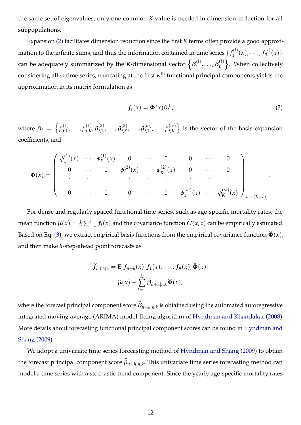the same set of eigenvalues, only one common *K* value is needed in dimension-reduction for all subpopulations.

Expansion [\(2\)](#page-10-1) facilitates dimension reduction since the first *K* terms often provide a good approximation to the infinite sums, and thus the information contained in time series  $\{f_1^{(l)}\}$  $f_1^{(l)}(x), \cdots, f_n^{(l)}(x)$ can be adequately summarized by the *K*-dimensional vector  $\left\{\boldsymbol{\beta}_1^{(l)}\right\}$  $\beta^{(l)}_1, \ldots, \beta^{(l)}_K$ *K* o . When collectively considering all  $\omega$  time series, truncating at the first  $K^{\text{th}}$  functional principal components yields the approximation in its matrix formulation as

<span id="page-11-0"></span>
$$
\boldsymbol{f}_t(\boldsymbol{x}) = \boldsymbol{\Phi}(\boldsymbol{x}) \boldsymbol{\beta}_t^\top,\tag{3}
$$

where  $\beta_t = \left\{ \beta_{t,1}^{(1)}, \ldots, \beta_{t,K}^{(1)} \right\}$  $\beta_{t,K}^{(1)}, \beta_{t,1}^{(2)}, \ldots, \beta_{t,K}^{(2)}$  $\beta_{t,K}^{(\alpha)}, \ldots, \beta_{t,1}^{(\omega)}, \ldots, \beta_{t,K}^{(\omega)}$ *t*,*K* o is the vector of the basis expansion coefficients, and

$$
\Phi(x) = \begin{pmatrix}\n\phi_1^{(1)}(x) & \cdots & \phi_K^{(1)}(x) & 0 & \cdots & 0 & 0 & \cdots & 0 \\
0 & \cdots & 0 & \phi_1^{(2)}(x) & \cdots & \phi_K^{(2)}(x) & 0 & \cdots & 0 \\
\vdots & \vdots & \vdots & \vdots & \vdots & \vdots & \vdots & \vdots \\
0 & \cdots & 0 & 0 & \cdots & 0 & \phi_1^{(\omega)}(x) & \cdots & \phi_K^{(\omega)}(x)\n\end{pmatrix}_{\omega \times (K \times \omega)}.
$$

For dense and regularly spaced functional time series, such as age-specific mortality rates, the mean function  $\widehat{\mu}(x) = \frac{1}{n} \sum_{t=1}^{n} f_t(x)$  and the covariance function  $\widehat{C}(x, z)$  can be empirically estimated. Based on Eq. [\(3\)](#page-11-0), we extract empirical basis functions from the empirical covariance function  $\hat{\Phi}(x)$ , and then make *h*-step-ahead point forecasts as

$$
\widehat{f}_{n+h|n} = \mathbb{E}[f_{n+h}(x)|f_1(x), \cdots, f_n(x); \widehat{\Phi}(x)]
$$

$$
= \widehat{\mu}(x) + \sum_{k=1}^K \widehat{\beta}_{n+h|n,k} \widehat{\Phi}(x),
$$

where the forecast principal component score  $\beta_{n+h|n,k}$  is obtained using the automated autoregressive integrated moving average (ARIMA) model-fitting algorithm of [Hyndman and Khandakar](#page-24-10) [\(2008\)](#page-24-10). More details about forecasting functional principal component scores can be found in [Hyndman and](#page-24-0) [Shang](#page-24-0) [\(2009\)](#page-24-0).

We adopt a univariate time series forecasting method of [Hyndman and Shang](#page-24-0) [\(2009\)](#page-24-0) to obtain the forecast principal component score  $\beta_{n+h|n,k}$ . This univariate time series forecasting method can model a time series with a stochastic trend component. Since the yearly age-specific mortality rates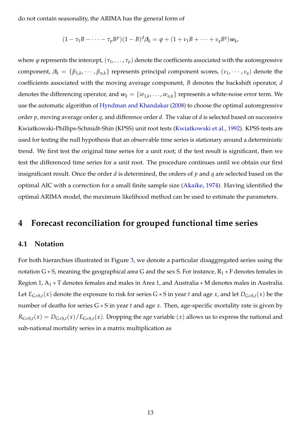do not contain seasonality, the ARIMA has the general form of

$$
(1-\tau_1B-\cdots-\tau_pB^p)(1-B)^d\beta_k=\varphi+(1+\nu_1B+\cdots+\nu_qB^q)\mathbf{w}_k,
$$

where  $\varphi$  represents the intercept,  $(\tau_1, \ldots, \tau_p)$  denote the coefficients associated with the autoregressive component,  $\beta_k = \{\beta_{1,k}, \cdots, \beta_{n,k}\}$  represents principal component scores,  $(\nu_1, \cdots, \nu_q)$  denote the coefficients associated with the moving average component, *B* denotes the backshift operator, *d* denotes the differencing operator, and  $w_k = \{w_{1,k}, \ldots, w_{n,k}\}$  represents a white-noise error term. We use the automatic algorithm of [Hyndman and Khandakar](#page-24-10) [\(2008\)](#page-24-10) to choose the optimal autoregressive order *p*, moving average order *q*, and difference order *d*. The value of *d* is selected based on successive Kwiatkowski-Phillips-Schmidt-Shin (KPSS) unit root tests [\(Kwiatkowski et al.,](#page-25-12) [1992\)](#page-25-12). KPSS tests are used for testing the null hypothesis that an observable time series is stationary around a deterministic trend. We first test the original time series for a unit root; if the test result is significant, then we test the differenced time series for a unit root. The procedure continues until we obtain our first insignificant result. Once the order *d* is determined, the orders of *p* and *q* are selected based on the optimal AIC with a correction for a small finite sample size [\(Akaike,](#page-23-15) [1974\)](#page-23-15). Having identified the optimal ARIMA model, the maximum likelihood method can be used to estimate the parameters.

### <span id="page-12-0"></span>**4 Forecast reconciliation for grouped functional time series**

#### **4.1 Notation**

For both hierarchies illustrated in Figure [3,](#page-8-3) we denote a particular disaggregated series using the notation G  $*$  S, meaning the geographical area G and the sex S. For instance,  $R_1 * F$  denotes females in Region 1,  $A_1 * T$  denotes females and males in Area 1, and Australia  $* M$  denotes males in Australia. Let  $E_{G*S,t}(x)$  denote the exposure to risk for series  $G*S$  in year *t* and age *x*, and let  $D_{G*S,t}(x)$  be the number of deaths for series G ∗ S in year *t* and age *x*. Then, age-specific mortality rate is given by  $R_{G*S,t}(x) = D_{G*S,t}(x)/E_{G*S,t}(x)$ . Dropping the age variable  $(x)$  allows us to express the national and sub-national mortality series in a matrix multiplication as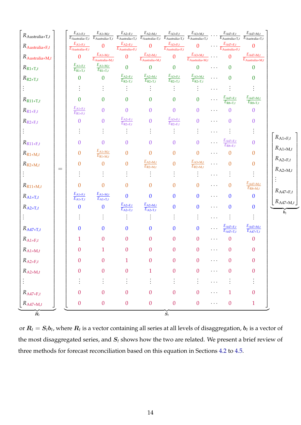| $R_{\rm Australia*T, \it t}$   |     | $E_{A1*F,t}$<br>$\overline{E_{\text{Australia}*T,t}}$ | $E_{A1*M,t}$<br>$\overline{E_{\text{Australia}*T,t}}$ | $E_{A2*F,t}$                                                       | $E_{A2*M,t}$<br>$\overline{E_{\text{Australia}*T,t}}$ $\overline{E_{\text{Australia}*T,t}}$ | $E_{A3*F,t}$                                                       | $E_{A3*M,t}$<br>$\overline{E_{\text{Australia}*T,t}}$ $\overline{E_{\text{Australia}*T,t}}$ |            | $E_{A47*F,t}$<br>$\overline{E_{\text{Australia}*T,t}}$       | $E_{A47*M,t}$<br>$E_{\text{Australian}+T,t}$                     |                          |
|--------------------------------|-----|-------------------------------------------------------|-------------------------------------------------------|--------------------------------------------------------------------|---------------------------------------------------------------------------------------------|--------------------------------------------------------------------|---------------------------------------------------------------------------------------------|------------|--------------------------------------------------------------|------------------------------------------------------------------|--------------------------|
| $R_{\text{Australian}*F,t}$    |     | $E_{A1*F,t}$<br>$E_{\rm Australia*F,t}$               | $\mathbf{0}$                                          | $\frac{E_{\text{A2}*\text{F},t}}{E_{\text{Australia}*\text{F},t}}$ | $\mathbf{0}$                                                                                | $\frac{E_{\text{A3*F},t}}{E_{\text{Australian} \cdot \text{F},t}}$ | $\overline{0}$                                                                              |            | $\cdots \frac{E_{\text{A47*F},t}}{E_{\text{Australia*F},t}}$ | $\overline{0}$                                                   |                          |
| $R_{\text{Australian}*M,t}$    |     | $\boldsymbol{0}$                                      | $E_{A1*M,t}$<br>$\overline{E_{\text{Australia}*M,t}}$ | $\mathbf{0}$                                                       | $E_{A2*M,t}$<br>$\overline{E_{\text{Australia}*M,t}}$                                       | $\overline{0}$                                                     | $E_{A3*M,t}$<br>$\overline{E_{\text{Australia}*M,t}}$                                       |            | $\overline{0}$                                               | $E_{\rm A47*M,t}$<br>$\overline{E_{\text{Australia}*M,t}}$       |                          |
| $R_{\mathrm{R}1*\mathrm{T},t}$ |     | $E_{A1*F,t}$<br>$\overline{E_{\rm R1*T,}t}$           | $E_{A1*M,t}$<br>$E_{R1*T,t}$                          | $\mathbf{0}$                                                       | $\overline{0}$                                                                              | $\boldsymbol{0}$                                                   | $\overline{0}$                                                                              | $\ldots$ . | $\boldsymbol{0}$                                             | $\mathbf{0}$                                                     |                          |
| $R_{R2*T,t}$                   |     | $\boldsymbol{0}$                                      | $\boldsymbol{0}$                                      | $\frac{E_{\text{A2}*\text{F},t}}{E_{\text{R2}*\text{T},t}}$        | $\frac{E_{\text{A2*M},t}}{E_{\text{R2*T},t}}$                                               | $\frac{E_{\text{A3*F},t}}{E_{\text{R2*T},t}}$                      | $\frac{E_{\text{A3}*\text{M},t}}{E_{\text{R2}*\text{T},t}}$                                 | $\cdots$   | $\overline{0}$                                               | $\Omega$                                                         | $R_{\rm A1*F,t}$         |
|                                |     |                                                       |                                                       |                                                                    |                                                                                             |                                                                    |                                                                                             | .          |                                                              |                                                                  |                          |
| $R_{\text{R11}*T,t}$           |     | $\boldsymbol{0}$                                      | $\boldsymbol{0}$                                      | $\boldsymbol{0}$                                                   | $\boldsymbol{0}$                                                                            | $\boldsymbol{0}$                                                   | $\overline{0}$                                                                              |            | $\frac{E_{\text{A47*F},t}}{E_{\text{R8*T},t}}$               | $E_{A47*M,t}$<br>$E_{\text{R8*T},t}$                             |                          |
| $R_{\mathrm{R}1*\mathrm{F},t}$ |     | $E_{A1*F,t}$<br>$E_{R1*F,t}$                          | $\overline{0}$                                        | $\overline{0}$                                                     | $\overline{0}$                                                                              | $\overline{0}$                                                     | $\overline{0}$                                                                              | $\cdots$   | $\overline{0}$                                               | $\overline{0}$                                                   |                          |
| $R_{R2*F,t}$                   |     | $\overline{0}$                                        | $\mathbf{0}$                                          | $\frac{E_{\text{A2}*\text{F},t}}{E_{\text{R2}*\text{F},t}}$        | $\boldsymbol{0}$                                                                            | $\frac{E_{\text{A3}*\text{F},t}}{E_{\text{R2}*\text{F},t}}$        | $\overline{0}$                                                                              | $\cdots$   | $\overline{0}$                                               | $\boldsymbol{0}$                                                 |                          |
| $\vdots$                       |     |                                                       | $\ddot{\cdot}$                                        |                                                                    | $\vdots$                                                                                    |                                                                    |                                                                                             |            |                                                              | $\vdots$                                                         |                          |
| $R_{R11*F,t}$                  |     | $\overline{0}$                                        | $\overline{0}$                                        | $\mathbf{0}$                                                       | $\overline{0}$                                                                              | $\overline{0}$                                                     | $\overline{0}$                                                                              |            | $\frac{E_{\text{A47*F},t}}{E_{\text{R8*F},t}}$               | $\mathbf{0}$                                                     |                          |
| $R_{{\rm R}1*{\rm M},t}$       |     | $\boldsymbol{0}$                                      | $E_{A1*M,t}$<br>$E_{R1*M,t}$                          | $\overline{0}$                                                     | $\overline{0}$                                                                              | $\overline{0}$                                                     | $\mathbf{0}$                                                                                | $\cdots$   | $\overline{0}$                                               | $\mathbf{0}$                                                     | $R_{A1*M,t}$             |
| $R_{R2*M,t}$                   |     | $\boldsymbol{0}$                                      | $\overline{0}$                                        | $\overline{0}$                                                     | $E_{A2*M,t}$<br>$E_{R2*M,t}$                                                                | $\overline{0}$                                                     | $E_{A3*M,t}$<br>$E_{R2*M,t}$                                                                | $\cdots$   | $\overline{0}$                                               | $\overline{0}$                                                   | $R_{\rm A2*F,t}$         |
| $\vdots$                       | $=$ |                                                       |                                                       |                                                                    |                                                                                             | $\vdots$                                                           | $\vdots$                                                                                    |            |                                                              | $\vdots$                                                         | $R_{A2*M,t}$             |
| $R_{R11*M,t}$                  |     | $\boldsymbol{0}$                                      | $\boldsymbol{0}$                                      | $\overline{0}$                                                     | $\boldsymbol{0}$                                                                            | $\overline{0}$                                                     | $\boldsymbol{0}$                                                                            | $\cdots$   | $\overline{0}$                                               | $\frac{E_{\text{A47} * \text{M},t}}{E_{\text{R8} * \text{M},t}}$ | $\vdots$                 |
| $R_{A1*T,t}$                   |     | $E_{A1*F,t}$<br>$\overline{E_{{\rm A}1 * {\rm T},t}}$ | $E_{A1*M,t}$<br>$E_{A1*T,t}$                          | $\mathbf{0}$                                                       | $\mathbf{0}$                                                                                | $\mathbf{0}$                                                       | $\mathbf{0}$                                                                                | $\cdots$   | $\overline{0}$                                               | $\bf{0}$                                                         | $R_{A47*F,t}$            |
| $R_{A2*T,t}$                   |     | $\boldsymbol{0}$                                      | $\boldsymbol{0}$                                      | $E_{A2*F,t}$<br>$\overline{E_{{\rm A2}*\rm T,t}}$                  | $E_{A2*M,t}$<br>$E_{A2*T,t}$                                                                | $\overline{0}$                                                     | $\mathbf{0}$                                                                                | $\cdots$   | $\bf{0}$                                                     | $\boldsymbol{0}$                                                 | $R_{A47*M,t}$            |
| $\vdots$                       |     |                                                       |                                                       |                                                                    | $\vdots$                                                                                    |                                                                    |                                                                                             |            |                                                              | $\vdots$                                                         | $\dot{\boldsymbol{b}_t}$ |
| $R_{\rm A47*T,t}$              |     | $\mathbf{0}$                                          | $\boldsymbol{0}$                                      | $\boldsymbol{0}$                                                   | $\mathbf{0}$                                                                                | $\boldsymbol{0}$                                                   | $\boldsymbol{0}$                                                                            |            | $\frac{E_{\text{A47*F},t}}{E_{\text{A47*T},t}}$              | $\frac{E_{\text{A47*M},t}}{E_{\text{A47*T},t}}$                  |                          |
| $R_{A1*F,t}$                   |     | $\mathbf{1}$                                          | $\overline{0}$                                        | $\overline{0}$                                                     | $\boldsymbol{0}$                                                                            | $\overline{0}$                                                     | $\overline{0}$                                                                              | $\cdots$   | $\overline{0}$                                               | $\overline{0}$                                                   |                          |
| $R_{\rm A1*M,t}$               |     | $\boldsymbol{0}$                                      | $\mathbf{1}$                                          | $\overline{0}$                                                     | $\overline{0}$                                                                              | $\mathbf{0}$                                                       | $\overline{0}$                                                                              | .          | $\mathbf{0}$                                                 | $\boldsymbol{0}$                                                 |                          |
| $R_{\rm A2*F,t}$               |     | $\boldsymbol{0}$                                      | $\overline{0}$                                        | 1                                                                  | $\boldsymbol{0}$                                                                            | $\boldsymbol{0}$                                                   | $\theta$                                                                                    | $\cdots$   | $\boldsymbol{0}$                                             | $\Omega$                                                         |                          |
| $R_{A2*M,t}$                   |     | $\boldsymbol{0}$                                      | $\boldsymbol{0}$                                      | $\mathbf{0}$                                                       | $\mathbf{1}$                                                                                | $\boldsymbol{0}$                                                   | $\boldsymbol{0}$                                                                            | $\cdots$   | $\boldsymbol{0}$                                             | $\overline{0}$                                                   |                          |
| ÷                              |     | $\vdots$                                              |                                                       | ŧ                                                                  | $\vdots$                                                                                    | $\vdots$                                                           | ÷.                                                                                          | $\cdots$   | $\vdots$                                                     |                                                                  |                          |
| $R_{\rm A47*F, \it t}$         |     | $\boldsymbol{0}$                                      | $\boldsymbol{0}$                                      | $\overline{0}$                                                     | $\boldsymbol{0}$                                                                            | $\theta$                                                           | $\boldsymbol{0}$                                                                            | $\cdots$   | $\mathbf{1}$                                                 | $\overline{0}$                                                   |                          |
| $R_{\rm A47*M,t}$              |     | $\boldsymbol{0}$                                      | $\boldsymbol{0}$                                      | $\boldsymbol{0}$                                                   | $\boldsymbol{0}$                                                                            | $\boldsymbol{0}$                                                   | $\boldsymbol{0}$                                                                            | $\cdots$   | $\boldsymbol{0}$                                             | $\mathbf{1}$                                                     |                          |
| $\boldsymbol{\check{R}}_t$     |     |                                                       |                                                       |                                                                    |                                                                                             | $\check{\bm{S}}_t$                                                 |                                                                                             |            |                                                              |                                                                  |                          |

or  $\bm{R}_t=\bm{S}_t\bm{b}_t$ , where  $\bm{R}_t$  is a vector containing all series at all levels of disaggregation,  $\bm{b}_t$  is a vector of the most disaggregated series, and S*<sup>t</sup>* shows how the two are related. We present a brief review of three methods for forecast reconciliation based on this equation in Sections [4.2](#page-14-0) to [4.5.](#page-16-1)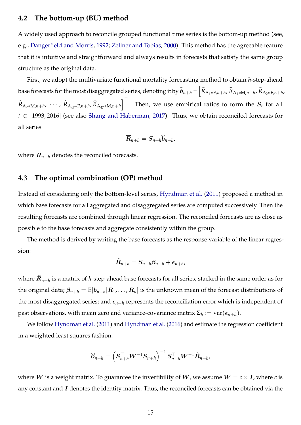### <span id="page-14-0"></span>**4.2 The bottom-up (BU) method**

A widely used approach to reconcile grouped functional time series is the bottom-up method (see, e.g., [Dangerfield and Morris,](#page-24-11) [1992;](#page-24-11) [Zellner and Tobias,](#page-26-5) [2000\)](#page-26-5). This method has the agreeable feature that it is intuitive and straightforward and always results in forecasts that satisfy the same group structure as the original data.

First, we adopt the multivariate functional mortality forecasting method to obtain *h*-step-ahead base forecasts for the most disaggregated series, denoting it by  $\widehat{\bm{b}}_{n+h}$  =  $\left[\widehat{R}_{\text{A}_1* \text{F},n+h}$ ,  $\widehat{R}_{\text{A}_1* \text{M},n+h}$ ,  $\widehat{R}_{\text{A}_2* \text{F},n+h}$ ,  $\widehat{R}_{A_2 * M, n+h}$ ,  $\cdots$ ,  $\widehat{R}_{A_47 * F, n+h}$ ,  $\widehat{R}_{A_47 * M, n+h}$ . Then, we use empirical ratios to form the  $S_t$  for all *t* ∈ [1993, 2016] (see also [Shang and Haberman,](#page-25-13) [2017\)](#page-25-13). Thus, we obtain reconciled forecasts for all series

$$
\overline{\mathbf{R}}_{n+h} = \mathbf{S}_{n+h} \widehat{\mathbf{b}}_{n+h},
$$

where  $\overline{R}_{n+h}$  denotes the reconciled forecasts.

#### **4.3 The optimal combination (OP) method**

Instead of considering only the bottom-level series, [Hyndman et al.](#page-24-12) [\(2011\)](#page-24-12) proposed a method in which base forecasts for all aggregated and disaggregated series are computed successively. Then the resulting forecasts are combined through linear regression. The reconciled forecasts are as close as possible to the base forecasts and aggregate consistently within the group.

The method is derived by writing the base forecasts as the response variable of the linear regression:

$$
\widehat{\boldsymbol{R}}_{n+h} = \boldsymbol{S}_{n+h}\boldsymbol{\beta}_{n+h} + \boldsymbol{\epsilon}_{n+h},
$$

where  $\overline{\bm{R}}_{n+h}$  is a matrix of *h-*step-ahead base forecasts for all series, stacked in the same order as for the original data;  $\beta_{n+h} = \text{E}[b_{n+h} | R_1, \dots, R_n]$  is the unknown mean of the forecast distributions of the most disaggregated series; and  $\epsilon_{n+h}$  represents the reconciliation error which is independent of  $\mathsf{past}\;$  observations, with mean zero and variance-covariance matrix  $\mathsf{\Sigma}_h:=\mathrm{var}(\epsilon_{n+h}).$ 

We follow [Hyndman et al.](#page-24-12) [\(2011\)](#page-24-12) and [Hyndman et al.](#page-24-13) [\(2016\)](#page-24-13) and estimate the regression coefficient in a weighted least squares fashion:

$$
\widehat{\beta}_{n+h} = \left(\boldsymbol{S}_{n+h}^{\top} \boldsymbol{W}^{-1} \boldsymbol{S}_{n+h}\right)^{-1} \boldsymbol{S}_{n+h}^{\top} \boldsymbol{W}^{-1} \widehat{\boldsymbol{R}}_{n+h},
$$

where W is a weight matrix. To guarantee the invertibility of W, we assume  $W = c \times I$ , where *c* is any constant and  $I$  denotes the identity matrix. Thus, the reconciled forecasts can be obtained via the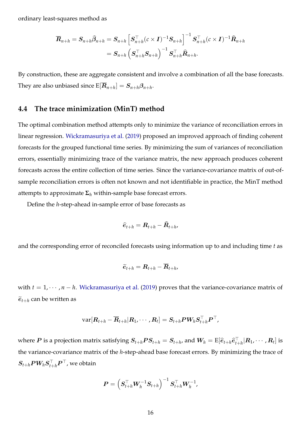ordinary least-squares method as

$$
\overline{{\bm{R}}}_{n+h} = {\bm{S}}_{n+h} \widehat{{\bm{\beta}}}_{n+h} = {\bm{S}}_{n+h} \left[ {\bm{S}}_{n+h}^\top (c \times {\bm{I}})^{-1} {\bm{S}}_{n+h} \right]^{-1} {\bm{S}}_{n+h}^\top (c \times {\bm{I}})^{-1} \widehat{{\bm{R}}}_{n+h} \\ = {\bm{S}}_{n+h} \left( {\bm{S}}_{n+h}^\top {\bm{S}}_{n+h} \right)^{-1} {\bm{S}}_{n+h}^\top \widehat{{\bm{R}}}_{n+h}.
$$

By construction, these are aggregate consistent and involve a combination of all the base forecasts. They are also unbiased since  $\text{E}[{\bm{R}}_{n+h}] = {\bm{S}}_{n+h}{\bm{\beta}}_{n+h}.$ 

#### **4.4 The trace minimization (MinT) method**

The optimal combination method attempts only to minimize the variance of reconciliation errors in linear regression. [Wickramasuriya et al.](#page-26-6) [\(2019\)](#page-26-6) proposed an improved approach of finding coherent forecasts for the grouped functional time series. By minimizing the sum of variances of reconciliation errors, essentially minimizing trace of the variance matrix, the new approach produces coherent forecasts across the entire collection of time series. Since the variance-covariance matrix of out-ofsample reconciliation errors is often not known and not identifiable in practice, the MinT method attempts to approximate  $\Sigma_h$  within-sample base forecast errors.

Define the *h*-step-ahead in-sample error of base forecasts as

$$
\widehat{e}_{t+h} = \boldsymbol{R}_{t+h} - \widehat{\boldsymbol{R}}_{t+h},
$$

and the corresponding error of reconciled forecasts using information up to and including time *t* as

$$
\widetilde{e}_{t+h} = \mathbf{R}_{t+h} - \overline{\mathbf{R}}_{t+h},
$$

with  $t = 1, \dots, n - h$ . [Wickramasuriya et al.](#page-26-6) [\(2019\)](#page-26-6) proves that the variance-covariance matrix of  $\widetilde{e}_{t+h}$  can be written as

$$
\text{var}[\bm R_{t+h}-\overline{\bm R}_{t+h}| \bm R_1, \cdots, \bm R_t]=\bm S_{t+h} \bm P \bm W_h \bm S_{t+h}^\top \bm P^\top,
$$

where  $P$  is a projection matrix satisfying  $S_{t+h}PS_{t+h}=S_{t+h}$ , and  $W_h=\text{E}[\widehat{e}_{t+h}\widehat{e}_{t+h}^{\perp}|R_1,\cdots,R_t]$  is the variance-covariance matrix of the *h*-step-ahead base forecast errors. By minimizing the trace of  $\boldsymbol{S}_{t+h}\boldsymbol{P}\boldsymbol{W}_h\boldsymbol{S}_{t+h}^{\top}\boldsymbol{P}^{\top}$  , we obtain

$$
\bm{P} = \left(\bm{S}_{t+h}^{\top} \bm{W}_h^{-1} \bm{S}_{t+h}\right)^{-1} \bm{S}_{t+h}^{\top} \bm{W}_h^{-1},
$$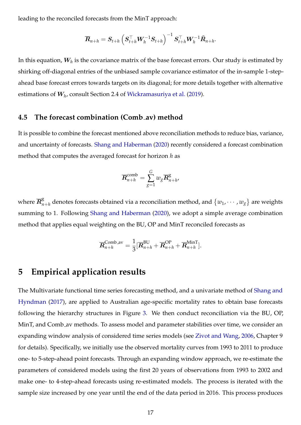leading to the reconciled forecasts from the MinT approach:

$$
\overline{\boldsymbol{R}}_{n+h} = \boldsymbol{S}_{t+h} \left( \boldsymbol{S}_{t+h}^\top \boldsymbol{W}_h^{-1} \boldsymbol{S}_{t+h} \right)^{-1} \boldsymbol{S}_{t+h}^\top \boldsymbol{W}_h^{-1} \widehat{\boldsymbol{R}}_{n+h}.
$$

In this equation*,*  $\boldsymbol{W_h}$  is the covariance matrix of the base forecast errors. Our study is estimated by shirking off-diagonal entries of the unbiased sample covariance estimator of the in-sample 1-stepahead base forecast errors towards targets on its diagonal; for more details together with alternative estimations of W*<sup>h</sup>* , consult Section 2.4 of [Wickramasuriya et al.](#page-26-6) [\(2019\)](#page-26-6).

#### <span id="page-16-1"></span>**4.5 The forecast combination (Comb av) method**

It is possible to combine the forecast mentioned above reconciliation methods to reduce bias, variance, and uncertainty of forecasts. [Shang and Haberman](#page-25-14) [\(2020\)](#page-25-14) recently considered a forecast combination method that computes the averaged forecast for horizon *h* as

$$
\overline{{\bm{R}}}_{n+h}^{\text{comb}} = \sum_{g=1}^G w_g \overline{{\bm{R}}}_{n+h}^g,
$$

where  $\overline{R}^{\rm g}_n$  $_{n+h}^{\mathrm{g}}$  denotes forecasts obtained via a reconciliation method, and  $\{w_1, \cdots, w_g\}$  are weights summing to 1. Following [Shang and Haberman](#page-25-14) [\(2020\)](#page-25-14), we adopt a simple average combination method that applies equal weighting on the BU, OP and MinT reconciled forecasts as

$$
\overline{R}_{n+h}^{\text{Comb.av}} = \frac{1}{3} [\overline{R}_{n+h}^{\text{BU}} + \overline{R}_{n+h}^{\text{OP}} + \overline{R}_{n+h}^{\text{MinT}}].
$$

### <span id="page-16-0"></span>**5 Empirical application results**

The Multivariate functional time series forecasting method, and a univariate method of [Shang and](#page-26-3) [Hyndman](#page-26-3) [\(2017\)](#page-26-3), are applied to Australian age-specific mortality rates to obtain base forecasts following the hierarchy structures in Figure [3.](#page-8-3) We then conduct reconciliation via the BU, OP, MinT, and Comb av methods. To assess model and parameter stabilities over time, we consider an expanding window analysis of considered time series models (see [Zivot and Wang,](#page-26-7) [2006,](#page-26-7) Chapter 9 for details). Specifically, we initially use the observed mortality curves from 1993 to 2011 to produce one- to 5-step-ahead point forecasts. Through an expanding window approach, we re-estimate the parameters of considered models using the first 20 years of observations from 1993 to 2002 and make one- to 4-step-ahead forecasts using re-estimated models. The process is iterated with the sample size increased by one year until the end of the data period in 2016. This process produces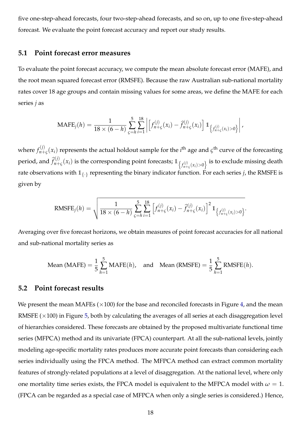five one-step-ahead forecasts, four two-step-ahead forecasts, and so on, up to one five-step-ahead forecast. We evaluate the point forecast accuracy and report our study results.

### **5.1 Point forecast error measures**

To evaluate the point forecast accuracy, we compute the mean absolute forecast error (MAFE), and the root mean squared forecast error (RMSFE). Because the raw Australian sub-national mortality rates cover 18 age groups and contain missing values for some areas, we define the MAFE for each series *j* as

MAFE<sub>j</sub>(h) = 
$$
\frac{1}{18 \times (6-h)} \sum_{\varsigma=h}^{5} \sum_{i=1}^{18} \left| \left[ f_{n+\varsigma}^{(j)}(x_i) - \hat{f}_{n+\varsigma}^{(j)}(x_i) \right] \mathbb{1}_{\left\{ f_{n+\varsigma}^{(j)}(x_i) > 0 \right\}} \right|,
$$

where  $f_{n+}^{(j)}$  $\chi^{(1)}_{n+\varsigma}(x_i)$  represents the actual holdout sample for the *i*<sup>th</sup> age and  $\varsigma$ <sup>th</sup> curve of the forecasting period, and  $\widehat{f}_{n+}^{(j)}$  $f^{(j)}_{n+\varsigma}(x_i)$  is the corresponding point forecasts;  $1_{\big\{f^{(j)}_{n+\varsigma}(x_i)>0\big\}}$  is to exclude missing death rate observations with  $1\!\!1_{\{\cdot\}}$  representing the binary indicator function. For each series *j,* the RMSFE is given by

RMSFE<sub>j</sub>(h) = 
$$
\sqrt{\frac{1}{18 \times (6-h)} \sum_{\varsigma=h}^{5} \sum_{i=1}^{18} \left[ f_{n+\varsigma}^{(j)}(x_i) - \hat{f}_{n+\varsigma}^{(j)}(x_i) \right]^2 1_{\{f_{n+\varsigma}^{(j)}(x_i) > 0\}}}
$$

Averaging over five forecast horizons, we obtain measures of point forecast accuracies for all national and sub-national mortality series as

Mean (MAFE) = 
$$
\frac{1}{5} \sum_{h=1}^{5} \text{MAFE}(h)
$$
, and Mean (RMSFE) =  $\frac{1}{5} \sum_{h=1}^{5} \text{RMSFE}(h)$ .

#### <span id="page-17-0"></span>**5.2 Point forecast results**

We present the mean MAFEs  $(\times 100)$  for the base and reconciled forecasts in Figure [4,](#page-18-0) and the mean RMSFE  $(\times 100)$  in Figure [5,](#page-18-1) both by calculating the averages of all series at each disaggregation level of hierarchies considered. These forecasts are obtained by the proposed multivariate functional time series (MFPCA) method and its univariate (FPCA) counterpart. At all the sub-national levels, jointly modeling age-specific mortality rates produces more accurate point forecasts than considering each series individually using the FPCA method. The MFPCA method can extract common mortality features of strongly-related populations at a level of disaggregation. At the national level, where only one mortality time series exists, the FPCA model is equivalent to the MFPCA model with  $\omega = 1$ . (FPCA can be regarded as a special case of MFPCA when only a single series is considered.) Hence,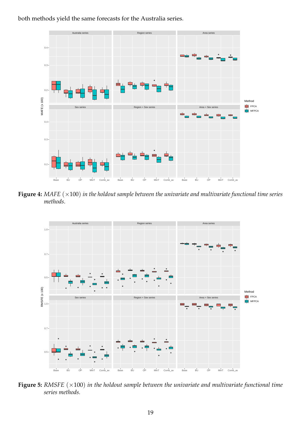

<span id="page-18-0"></span>both methods yield the same forecasts for the Australia series.

**Figure 4:** *MAFE* (×100) *in the holdout sample between the univariate and multivariate functional time series methods.*

<span id="page-18-1"></span>

**Figure 5:** *RMSFE*  $(\times 100)$  *in the holdout sample between the univariate and multivariate functional time series methods.*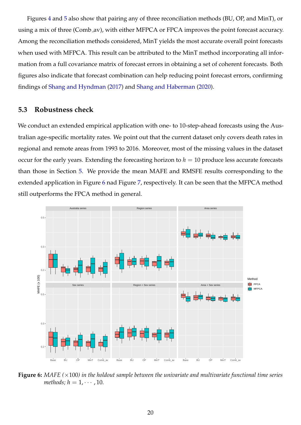Figures [4](#page-18-0) and [5](#page-18-1) also show that pairing any of three reconciliation methods (BU, OP, and MinT), or using a mix of three (Comb\_av), with either MFPCA or FPCA improves the point forecast accuracy. Among the reconciliation methods considered, MinT yields the most accurate overall point forecasts when used with MFPCA. This result can be attributed to the MinT method incorporating all information from a full covariance matrix of forecast errors in obtaining a set of coherent forecasts. Both figures also indicate that forecast combination can help reducing point forecast errors, confirming findings of [Shang and Hyndman](#page-26-3) [\(2017\)](#page-26-3) and [Shang and Haberman](#page-25-14) [\(2020\)](#page-25-14).

### <span id="page-19-1"></span>**5.3 Robustness check**

We conduct an extended empirical application with one- to 10-step-ahead forecasts using the Australian age-specific mortality rates. We point out that the current dataset only covers death rates in regional and remote areas from 1993 to 2016. Moreover, most of the missing values in the dataset occur for the early years. Extending the forecasting horizon to  $h = 10$  produce less accurate forecasts than those in Section [5.](#page-16-0) We provide the mean MAFE and RMSFE results corresponding to the extended application in Figure [6](#page-19-0) nad Figure [7,](#page-20-1) respectively. It can be seen that the MFPCA method still outperforms the FPCA method in general.

<span id="page-19-0"></span>

**Figure 6:** *MAFE (*×100*) in the holdout sample between the univariate and multivariate functional time series methods;*  $h = 1, \cdots, 10$ .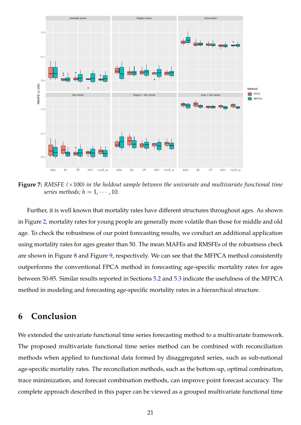<span id="page-20-1"></span>

**Figure 7:** *RMSFE (*×100*) in the holdout sample between the univariate and multivariate functional time series methods;*  $h = 1, \cdots, 10$ *.* 

Further, it is well known that mortality rates have different structures throughout ages. As shown in Figure [2,](#page-8-0) mortality rates for young people are generally more volatile than those for middle and old age. To check the robustness of our point forecasting results, we conduct an additional application using mortality rates for ages greater than 50. The mean MAFEs and RMSFEs of the robustness check are shown in Figure [8](#page-21-0) and Figure [9,](#page-21-1) respectively. We can see that the MFPCA method consistently outperforms the conventional FPCA method in forecasting age-specific mortality rates for ages between 50-85. Similar results reported in Sections [5.2](#page-17-0) and [5.3](#page-19-1) indicate the usefulness of the MFPCA method in modeling and forecasting age-specific mortality rates in a hierarchical structure.

### <span id="page-20-0"></span>**6 Conclusion**

We extended the univariate functional time series forecasting method to a multivariate framework. The proposed multivariate functional time series method can be combined with reconciliation methods when applied to functional data formed by disaggregated series, such as sub-national age-specific mortality rates. The reconciliation methods, such as the bottom-up, optimal combination, trace minimization, and forecast combination methods, can improve point forecast accuracy. The complete approach described in this paper can be viewed as a grouped multivariate functional time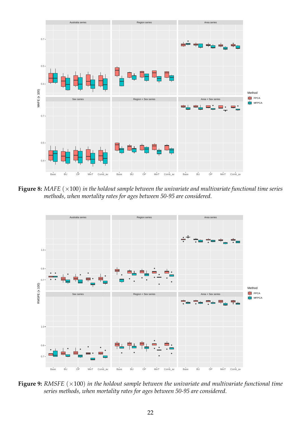<span id="page-21-0"></span>

**Figure 8:** *MAFE* (×100) *in the holdout sample between the univariate and multivariate functional time series methods, when mortality rates for ages between 50-95 are considered.*

<span id="page-21-1"></span>

**Figure 9:** *RMSFE*  $(\times 100)$  *in the holdout sample between the univariate and multivariate functional time series methods, when mortality rates for ages between 50-95 are considered.*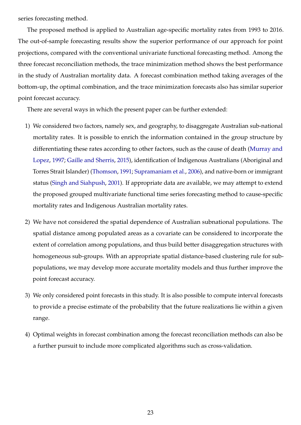series forecasting method.

The proposed method is applied to Australian age-specific mortality rates from 1993 to 2016. The out-of-sample forecasting results show the superior performance of our approach for point projections, compared with the conventional univariate functional forecasting method. Among the three forecast reconciliation methods, the trace minimization method shows the best performance in the study of Australian mortality data. A forecast combination method taking averages of the bottom-up, the optimal combination, and the trace minimization forecasts also has similar superior point forecast accuracy.

There are several ways in which the present paper can be further extended:

- 1) We considered two factors, namely sex, and geography, to disaggregate Australian sub-national mortality rates. It is possible to enrich the information contained in the group structure by differentiating these rates according to other factors, such as the cause of death [\(Murray and](#page-25-15) [Lopez,](#page-25-15) [1997;](#page-25-15) [Gaille and Sherris,](#page-24-14) [2015\)](#page-24-14), identification of Indigenous Australians (Aboriginal and Torres Strait Islander) [\(Thomson,](#page-26-8) [1991;](#page-26-8) [Supramaniam et al.,](#page-26-9) [2006\)](#page-26-9), and native-born or immigrant status [\(Singh and Siahpush,](#page-26-10) [2001\)](#page-26-10). If appropriate data are available, we may attempt to extend the proposed grouped multivariate functional time series forecasting method to cause-specific mortality rates and Indigenous Australian mortality rates.
- 2) We have not considered the spatial dependence of Australian subnational populations. The spatial distance among populated areas as a covariate can be considered to incorporate the extent of correlation among populations, and thus build better disaggregation structures with homogeneous sub-groups. With an appropriate spatial distance-based clustering rule for subpopulations, we may develop more accurate mortality models and thus further improve the point forecast accuracy.
- 3) We only considered point forecasts in this study. It is also possible to compute interval forecasts to provide a precise estimate of the probability that the future realizations lie within a given range.
- 4) Optimal weights in forecast combination among the forecast reconciliation methods can also be a further pursuit to include more complicated algorithms such as cross-validation.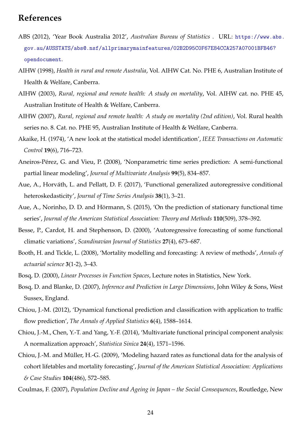### **References**

- <span id="page-23-9"></span>ABS (2012), 'Year Book Australia 2012', *Australian Bureau of Statistics* . URL: [https://www.abs.](https://www.abs.gov.au/AUSSTATS/abs@.nsf/allprimarymainfeatures/02B2D95C0F67E84CCA257A07001BFB46?opendocument) [gov.au/AUSSTATS/abs@.nsf/allprimarymainfeatures/02B2D95C0F67E84CCA257A07001BFB46?](https://www.abs.gov.au/AUSSTATS/abs@.nsf/allprimarymainfeatures/02B2D95C0F67E84CCA257A07001BFB46?opendocument) [opendocument](https://www.abs.gov.au/AUSSTATS/abs@.nsf/allprimarymainfeatures/02B2D95C0F67E84CCA257A07001BFB46?opendocument).
- <span id="page-23-12"></span>AIHW (1998), *Health in rural and remote Australia*, Vol. AIHW Cat. No. PHE 6, Australian Institute of Health & Welfare, Canberra.
- <span id="page-23-10"></span>AIHW (2003), *Rural, regional and remote health: A study on mortality*, Vol. AIHW cat. no. PHE 45, Australian Institute of Health & Welfare, Canberra.
- <span id="page-23-11"></span>AIHW (2007), *Rural, regional and remote health: A study on mortality (2nd edition)*, Vol. Rural health series no. 8. Cat. no. PHE 95, Australian Institute of Health & Welfare, Canberra.
- <span id="page-23-15"></span>Akaike, H. (1974), 'A new look at the statistical model identification', *IEEE Transactions on Automatic Control* **19**(6), 716–723.
- <span id="page-23-6"></span>Aneiros-Pérez, G. and Vieu, P. (2008), 'Nonparametric time series prediction: A semi-functional partial linear modeling', *Journal of Multivariate Analysis* **99**(5), 834–857.
- <span id="page-23-7"></span>Aue, A., Horváth, L. and Pellatt, D. F. (2017), 'Functional generalized autoregressive conditional heteroskedasticity', *Journal of Time Series Analysis* **38**(1), 3–21.
- <span id="page-23-4"></span>Aue, A., Norinho, D. D. and Hörmann, S. (2015), 'On the prediction of stationary functional time series', *Journal of the American Statistical Association: Theory and Methods* **110**(509), 378–392.
- <span id="page-23-5"></span>Besse, P., Cardot, H. and Stephenson, D. (2000), 'Autoregressive forecasting of some functional climatic variations', *Scandinavian Journal of Statistics* **27**(4), 673–687.
- <span id="page-23-0"></span>Booth, H. and Tickle, L. (2008), 'Mortality modelling and forecasting: A review of methods', *Annals of actuarial science* **3**(1-2), 3–43.
- <span id="page-23-3"></span><span id="page-23-2"></span>Bosq, D. (2000), *Linear Processes in Function Spaces*, Lecture notes in Statistics, New York.
- Bosq, D. and Blanke, D. (2007), *Inference and Prediction in Large Dimensions*, John Wiley & Sons, West Sussex, England.
- <span id="page-23-14"></span>Chiou, J.-M. (2012), 'Dynamical functional prediction and classification with application to traffic flow prediction', *The Annals of Applied Statistics* **6**(4), 1588–1614.
- <span id="page-23-13"></span>Chiou, J.-M., Chen, Y.-T. and Yang, Y.-F. (2014), 'Multivariate functional principal component analysis: A normalization approach', *Statistica Sinica* **24**(4), 1571–1596.
- <span id="page-23-1"></span>Chiou, J.-M. and Muller, H.-G. (2009), 'Modeling hazard rates as functional data for the analysis of ¨ cohort lifetables and mortality forecasting', *Journal of the American Statistical Association: Applications & Case Studies* **104**(486), 572–585.
- <span id="page-23-8"></span>Coulmas, F. (2007), *Population Decline and Ageing in Japan – the Social Consequences*, Routledge, New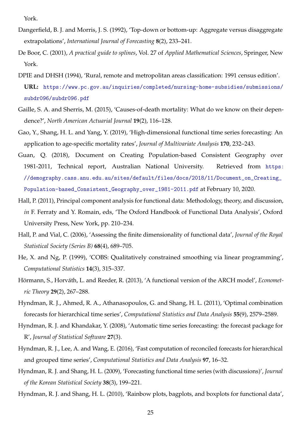York.

- <span id="page-24-11"></span>Dangerfield, B. J. and Morris, J. S. (1992), 'Top-down or bottom-up: Aggregate versus disaggregate extrapolations', *International Journal of Forecasting* **8**(2), 233–241.
- <span id="page-24-4"></span>De Boor, C. (2001), *A practical guide to splines*, Vol. 27 of *Applied Mathematical Sciences*, Springer, New York.
- <span id="page-24-7"></span>DPIE and DHSH (1994), 'Rural, remote and metropolitan areas classification: 1991 census edition'. **URL:** [https://www.pc.gov.au/inquiries/completed/nursing-home-subsidies/submissions/](https://www.pc.gov.au/inquiries/completed/nursing-home-subsidies/submissions/subdr096/subdr096.pdf) [subdr096/subdr096.pdf](https://www.pc.gov.au/inquiries/completed/nursing-home-subsidies/submissions/subdr096/subdr096.pdf)
- <span id="page-24-14"></span>Gaille, S. A. and Sherris, M. (2015), 'Causes-of-death mortality: What do we know on their dependence?', *North American Actuarial Journal* **19**(2), 116–128.
- <span id="page-24-2"></span>Gao, Y., Shang, H. L. and Yang, Y. (2019), 'High-dimensional functional time series forecasting: An application to age-specific mortality rates', *Journal of Multivariate Analysis* **170**, 232–243.
- <span id="page-24-6"></span>Guan, Q. (2018), Document on Creating Population-based Consistent Geography over 1981-2011, Technical report, Australian National University. Retrieved from [https:](https://demography.cass.anu.edu.au/sites/default/files/docs/2018/11/Document_on_Creating_Population-based_Consistent_Geography_over_1981-2011.pdf) [//demography.cass.anu.edu.au/sites/default/files/docs/2018/11/Document\\_on\\_Creating\\_](https://demography.cass.anu.edu.au/sites/default/files/docs/2018/11/Document_on_Creating_Population-based_Consistent_Geography_over_1981-2011.pdf) [Population-based\\_Consistent\\_Geography\\_over\\_1981-2011.pdf](https://demography.cass.anu.edu.au/sites/default/files/docs/2018/11/Document_on_Creating_Population-based_Consistent_Geography_over_1981-2011.pdf) at February 10, 2020.
- <span id="page-24-8"></span>Hall, P. (2011), Principal component analysis for functional data: Methodology, theory, and discussion, *in* F. Ferraty and Y. Romain, eds, 'The Oxford Handbook of Functional Data Analysis', Oxford University Press, New York, pp. 210–234.
- <span id="page-24-9"></span>Hall, P. and Vial, C. (2006), 'Assessing the finite dimensionality of functional data', *Journal of the Royal Statistical Society (Series B)* **68**(4), 689–705.
- <span id="page-24-5"></span>He, X. and Ng, P. (1999), 'COBS: Qualitatively constrained smoothing via linear programming', *Computational Statistics* **14**(3), 315–337.
- <span id="page-24-1"></span>Hörmann, S., Horváth, L. and Reeder, R. (2013), 'A functional version of the ARCH model', *Econometric Theory* **29**(2), 267–288.
- <span id="page-24-12"></span>Hyndman, R. J., Ahmed, R. A., Athanasopoulos, G. and Shang, H. L. (2011), 'Optimal combination forecasts for hierarchical time series', *Computational Statistics and Data Analysis* **55**(9), 2579–2589.
- <span id="page-24-10"></span>Hyndman, R. J. and Khandakar, Y. (2008), 'Automatic time series forecasting: the forecast package for R', *Journal of Statistical Software* **27**(3).
- <span id="page-24-13"></span>Hyndman, R. J., Lee, A. and Wang, E. (2016), 'Fast computation of reconciled forecasts for hierarchical and grouped time series', *Computational Statistics and Data Analysis* **97**, 16–32.
- <span id="page-24-0"></span>Hyndman, R. J. and Shang, H. L. (2009), 'Forecasting functional time series (with discussions)', *Journal of the Korean Statistical Society* **38**(3), 199–221.
- <span id="page-24-3"></span>Hyndman, R. J. and Shang, H. L. (2010), 'Rainbow plots, bagplots, and boxplots for functional data',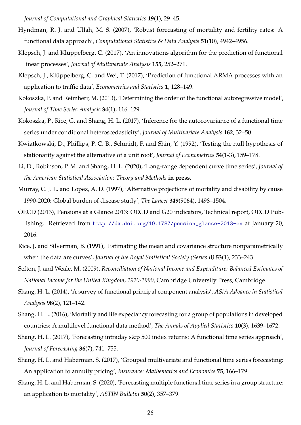*Journal of Computational and Graphical Statistics* **19**(1), 29–45.

- <span id="page-25-1"></span>Hyndman, R. J. and Ullah, M. S. (2007), 'Robust forecasting of mortality and fertility rates: A functional data approach', *Computational Statistics & Data Analysis* **51**(10), 4942–4956.
- <span id="page-25-3"></span>Klepsch, J. and Klüppelberg, C. (2017), 'An innovations algorithm for the prediction of functional linear processes', *Journal of Multivariate Analysis* **155**, 252–271.
- <span id="page-25-4"></span>Klepsch, J., Klüppelberg, C. and Wei, T. (2017), 'Prediction of functional ARMA processes with an application to traffic data', *Econometrics and Statistics* **1**, 128–149.
- <span id="page-25-2"></span>Kokoszka, P. and Reimherr, M. (2013), 'Determining the order of the functional autoregressive model', *Journal of Time Series Analysis* **34**(1), 116–129.
- <span id="page-25-6"></span>Kokoszka, P., Rice, G. and Shang, H. L. (2017), 'Inference for the autocovariance of a functional time series under conditional heteroscedasticity', *Journal of Multivariate Analysis* **162**, 32–50.
- <span id="page-25-12"></span>Kwiatkowski, D., Phillips, P. C. B., Schmidt, P. and Shin, Y. (1992), 'Testing the null hypothesis of stationarity against the alternative of a unit root', *Journal of Econometrics* **54**(1-3), 159–178.
- <span id="page-25-5"></span>Li, D., Robinson, P. M. and Shang, H. L. (2020), 'Long-range dependent curve time series', *Journal of the American Statistical Association: Theory and Methods* **in press**.
- <span id="page-25-15"></span>Murray, C. J. L. and Lopez, A. D. (1997), 'Alternative projections of mortality and disability by cause 1990-2020: Global burden of disease study', *The Lancet* **349**(9064), 1498–1504.
- <span id="page-25-9"></span>OECD (2013), Pensions at a Glance 2013: OECD and G20 indicators, Technical report, OECD Publishing. Retrieved from [http://dx.doi.org/10.1787/pension\\_glance-2013-en](http://dx.doi.org/10.1787/pension_glance-2013-en) at January 20, 2016.
- <span id="page-25-11"></span>Rice, J. and Silverman, B. (1991), 'Estimating the mean and covariance structure nonparametrically when the data are curves', *Journal of the Royal Statistical Society (Series B)* **53**(1), 233–243.
- <span id="page-25-8"></span>Sefton, J. and Weale, M. (2009), *Reconciliation of National Income and Expenditure: Balanced Estimates of National Income for the United Kingdom, 1920-1990*, Cambridge University Press, Cambridge.
- <span id="page-25-10"></span>Shang, H. L. (2014), 'A survey of functional principal component analysis', *AStA Advance in Statistical Analysis* **98**(2), 121–142.
- <span id="page-25-7"></span>Shang, H. L. (2016), 'Mortality and life expectancy forecasting for a group of populations in developed countries: A multilevel functional data method', *The Annals of Applied Statistics* **10**(3), 1639–1672.
- <span id="page-25-0"></span>Shang, H. L. (2017), 'Forecasting intraday s&p 500 index returns: A functional time series approach', *Journal of Forecasting* **36**(7), 741–755.
- <span id="page-25-13"></span>Shang, H. L. and Haberman, S. (2017), 'Grouped multivariate and functional time series forecasting: An application to annuity pricing', *Insurance: Mathematics and Economics* **75**, 166–179.
- <span id="page-25-14"></span>Shang, H. L. and Haberman, S. (2020), 'Forecasting multiple functional time series in a group structure: an application to mortality', *ASTIN Bulletin* **50**(2), 357–379.